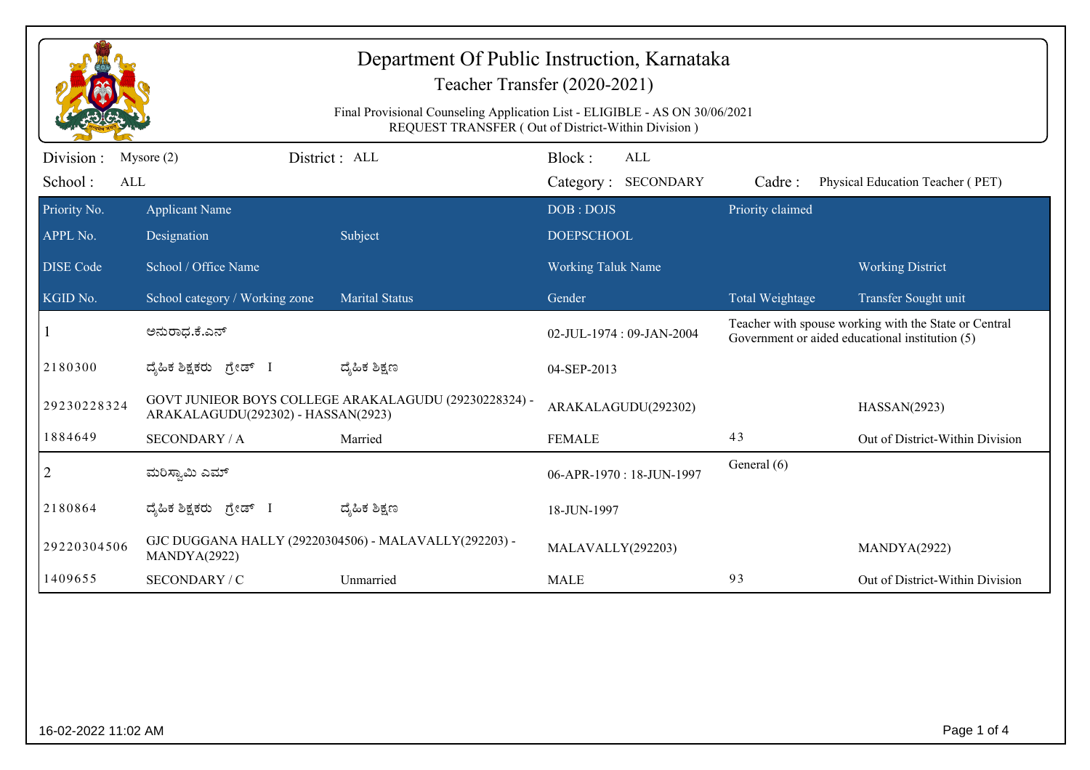| Department Of Public Instruction, Karnataka<br>Teacher Transfer (2020-2021)<br>Final Provisional Counseling Application List - ELIGIBLE - AS ON 30/06/2021<br>REQUEST TRANSFER (Out of District-Within Division) |                                                                                             |                       |                                |                                   |                                                                                                          |                                  |
|------------------------------------------------------------------------------------------------------------------------------------------------------------------------------------------------------------------|---------------------------------------------------------------------------------------------|-----------------------|--------------------------------|-----------------------------------|----------------------------------------------------------------------------------------------------------|----------------------------------|
| Division:<br>School:<br>ALL                                                                                                                                                                                      | Mysore $(2)$                                                                                | District : ALL        | Block:                         | <b>ALL</b><br>Category: SECONDARY | Cadre:                                                                                                   | Physical Education Teacher (PET) |
| Priority No.<br>APPL No.                                                                                                                                                                                         | <b>Applicant Name</b><br>Designation                                                        | Subject               | DOB: DOJS<br><b>DOEPSCHOOL</b> |                                   | Priority claimed                                                                                         |                                  |
| <b>DISE Code</b>                                                                                                                                                                                                 | School / Office Name                                                                        |                       | Working Taluk Name             |                                   |                                                                                                          | <b>Working District</b>          |
| KGID No.                                                                                                                                                                                                         | School category / Working zone                                                              | <b>Marital Status</b> | Gender                         |                                   | Total Weightage                                                                                          | Transfer Sought unit             |
|                                                                                                                                                                                                                  | ಅನುರಾಧ.ಕೆ.ಎನ್                                                                               |                       | 02-JUL-1974: 09-JAN-2004       |                                   | Teacher with spouse working with the State or Central<br>Government or aided educational institution (5) |                                  |
| 2180300                                                                                                                                                                                                          | ದ್ಯಹಿಕ ಶಿಕ್ಷಕರು ಗ್ರೇಡ್ I                                                                    | ದ್ಮಹಿಕ ಶಿಕ್ಷಣ         | 04-SEP-2013                    |                                   |                                                                                                          |                                  |
| 29230228324                                                                                                                                                                                                      | GOVT JUNIEOR BOYS COLLEGE ARAKALAGUDU (29230228324) -<br>ARAKALAGUDU(292302) - HASSAN(2923) |                       | ARAKALAGUDU(292302)            |                                   |                                                                                                          | HASSAN(2923)                     |
| 1884649                                                                                                                                                                                                          | <b>SECONDARY / A</b>                                                                        | Married               | <b>FEMALE</b>                  |                                   | 43                                                                                                       | Out of District-Within Division  |
| $\overline{2}$                                                                                                                                                                                                   | ಮರಿಸ್ವಾಮಿ ಎಮ್                                                                               |                       | 06-APR-1970: 18-JUN-1997       |                                   | General (6)                                                                                              |                                  |
| 2180864                                                                                                                                                                                                          | ದೈಹಿಕ ಶಿಕ್ಷಕರು ಗ್ರೇಡ್ I                                                                     | ದ್ಶೆಹಿಕ ಶಿಕ್ಷಣ        | 18-JUN-1997                    |                                   |                                                                                                          |                                  |
| 29220304506                                                                                                                                                                                                      | GJC DUGGANA HALLY (29220304506) - MALAVALLY(292203) -<br>MANDYA(2922)                       |                       | MALAVALLY(292203)              |                                   |                                                                                                          | MANDYA(2922)                     |
| 1409655                                                                                                                                                                                                          | SECONDARY / C                                                                               | Unmarried             | <b>MALE</b>                    |                                   | 93                                                                                                       | Out of District-Within Division  |
|                                                                                                                                                                                                                  |                                                                                             |                       |                                |                                   |                                                                                                          |                                  |
| Page 1 of 4<br>16-02-2022 11:02 AM                                                                                                                                                                               |                                                                                             |                       |                                |                                   |                                                                                                          |                                  |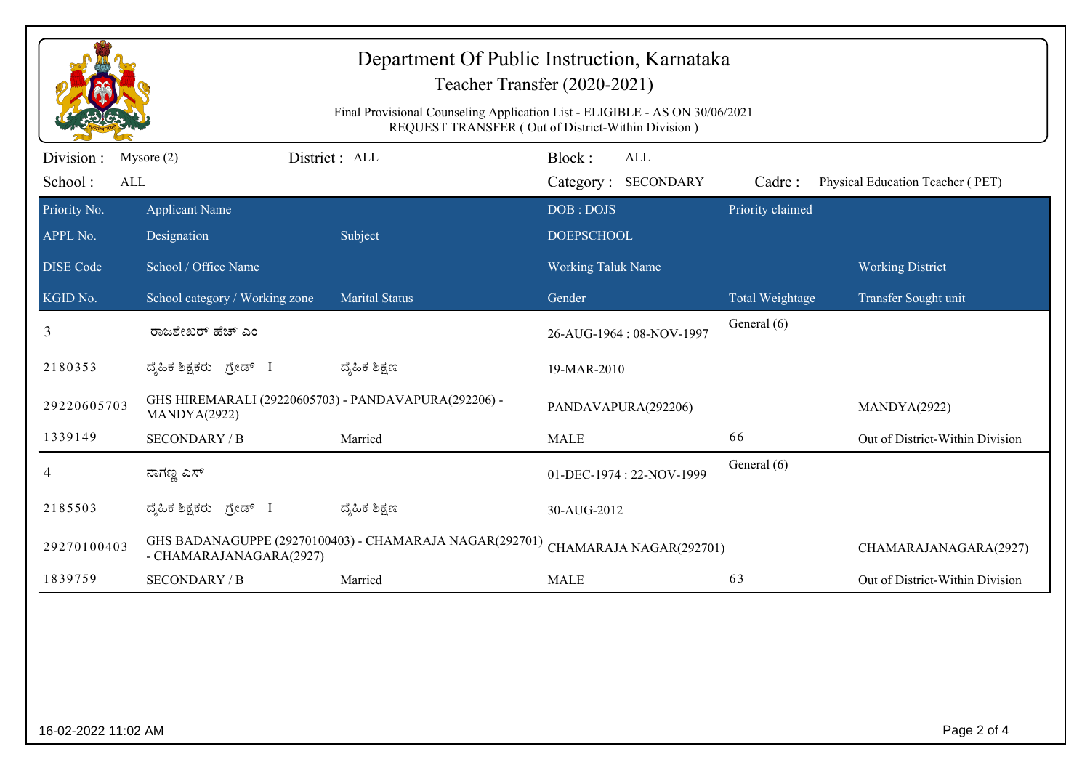| Department Of Public Instruction, Karnataka<br>Teacher Transfer (2020-2021)<br>Final Provisional Counseling Application List - ELIGIBLE - AS ON 30/06/2021<br>REQUEST TRANSFER (Out of District-Within Division) |                                                                                    |                       |                         |                            |                  |                                  |
|------------------------------------------------------------------------------------------------------------------------------------------------------------------------------------------------------------------|------------------------------------------------------------------------------------|-----------------------|-------------------------|----------------------------|------------------|----------------------------------|
| Division :<br>School:<br>ALL                                                                                                                                                                                     | Mysore $(2)$                                                                       | District: ALL         | Block:                  | ALL<br>Category: SECONDARY | Cadre:           | Physical Education Teacher (PET) |
| Priority No.                                                                                                                                                                                                     | <b>Applicant Name</b>                                                              |                       | DOB: DOJS               |                            | Priority claimed |                                  |
| APPL No.                                                                                                                                                                                                         | Designation                                                                        | Subject               | <b>DOEPSCHOOL</b>       |                            |                  |                                  |
| <b>DISE Code</b>                                                                                                                                                                                                 | School / Office Name                                                               |                       | Working Taluk Name      |                            |                  | <b>Working District</b>          |
| KGID No.                                                                                                                                                                                                         | School category / Working zone                                                     | <b>Marital Status</b> | Gender                  |                            | Total Weightage  | Transfer Sought unit             |
| 3                                                                                                                                                                                                                | ರಾಜಶೇಖರ್ ಹೆಚ್ ಎಂ                                                                   |                       |                         | 26-AUG-1964: 08-NOV-1997   | General (6)      |                                  |
| 2180353                                                                                                                                                                                                          | ದೈಹಿಕ ಶಿಕ್ಷಕರು ಗ್ರೇಡ್ I                                                            | ದ್ಮಹಿಕ ಶಿಕ್ಷಣ         | 19-MAR-2010             |                            |                  |                                  |
| 29220605703                                                                                                                                                                                                      | GHS HIREMARALI (29220605703) - PANDAVAPURA(292206) -<br>MANDYA(2922)               |                       | PANDAVAPURA(292206)     |                            | MANDYA(2922)     |                                  |
| 1339149                                                                                                                                                                                                          | <b>SECONDARY / B</b>                                                               | Married               | 66<br><b>MALE</b>       |                            |                  | Out of District-Within Division  |
| 4                                                                                                                                                                                                                | ನಾಗಣ್ಣ ಎಸ್                                                                         |                       |                         | 01-DEC-1974: 22-NOV-1999   | General (6)      |                                  |
| 2185503                                                                                                                                                                                                          | ದೈಹಿಕ ಶಿಕ್ಷಕರು ಗ್ರೇಡ್ I                                                            | ದ್ಯೆಹಿಕ ಶಿಕ್ಷಣ        | 30-AUG-2012             |                            |                  |                                  |
| 29270100403                                                                                                                                                                                                      | GHS BADANAGUPPE (29270100403) - CHAMARAJA NAGAR(292701)<br>- CHAMARAJANAGARA(2927) |                       | CHAMARAJA NAGAR(292701) |                            |                  | CHAMARAJANAGARA(2927)            |
| 1839759                                                                                                                                                                                                          | <b>SECONDARY / B</b>                                                               | Married               | <b>MALE</b>             |                            | 63               | Out of District-Within Division  |
|                                                                                                                                                                                                                  |                                                                                    |                       |                         |                            |                  |                                  |
| Page 2 of 4<br>16-02-2022 11:02 AM                                                                                                                                                                               |                                                                                    |                       |                         |                            |                  |                                  |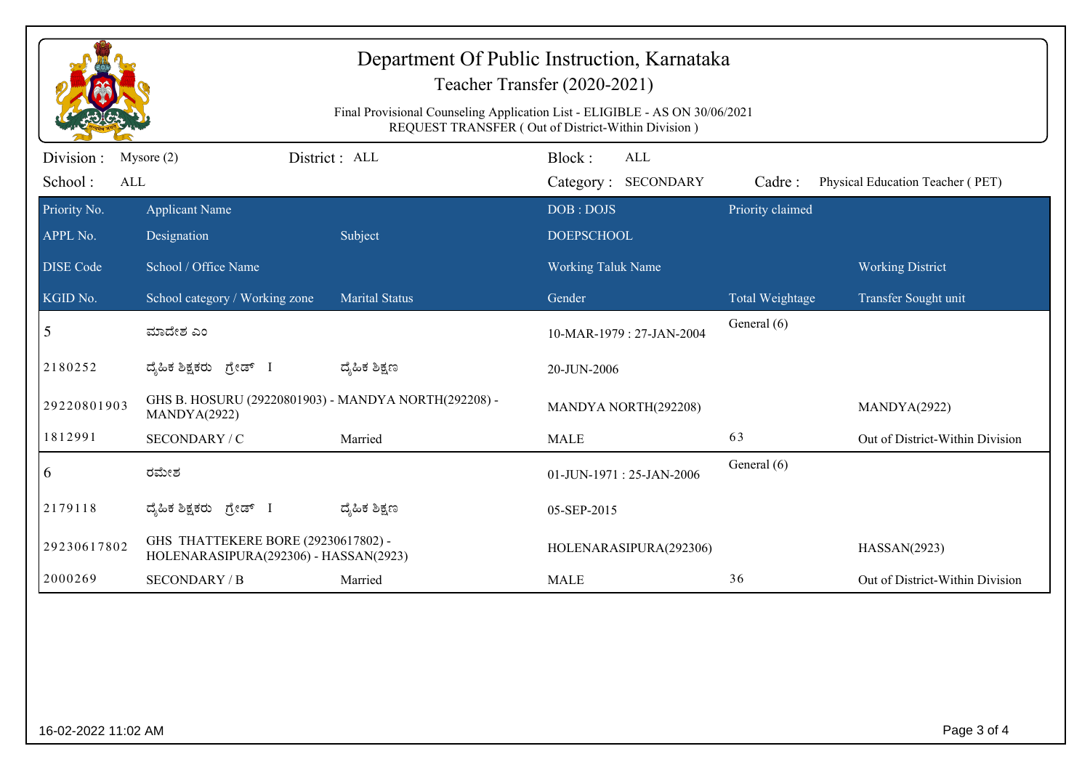|                            | Department Of Public Instruction, Karnataka<br>Teacher Transfer (2020-2021)<br>Final Provisional Counseling Application List - ELIGIBLE - AS ON 30/06/2021<br>REQUEST TRANSFER (Out of District-Within Division) |                       |                           |                  |                                  |  |  |
|----------------------------|------------------------------------------------------------------------------------------------------------------------------------------------------------------------------------------------------------------|-----------------------|---------------------------|------------------|----------------------------------|--|--|
| Division :<br>Mysore $(2)$ | District: ALL                                                                                                                                                                                                    |                       | Block:<br>ALL             |                  |                                  |  |  |
| School:<br>ALL             |                                                                                                                                                                                                                  |                       | Category: SECONDARY       | Cadre:           | Physical Education Teacher (PET) |  |  |
| Priority No.               | <b>Applicant Name</b>                                                                                                                                                                                            |                       | DOB: DOJS                 | Priority claimed |                                  |  |  |
| APPL No.                   | Designation                                                                                                                                                                                                      | Subject               | <b>DOEPSCHOOL</b>         |                  |                                  |  |  |
| <b>DISE Code</b>           | School / Office Name                                                                                                                                                                                             |                       | <b>Working Taluk Name</b> |                  | <b>Working District</b>          |  |  |
| KGID No.                   | School category / Working zone                                                                                                                                                                                   | <b>Marital Status</b> | Gender                    | Total Weightage  | Transfer Sought unit             |  |  |
| 5                          | ಮಾದೇಶ ಎಂ                                                                                                                                                                                                         |                       | 10-MAR-1979: 27-JAN-2004  | General (6)      |                                  |  |  |
| 2180252                    | ದ್ಯಹಿಕ ಶಿಕ್ಷಕರು <i>ಗ್ರೇ</i> ಡ್ I                                                                                                                                                                                 | ದ್ಮಹಿಕ ಶಿಕ್ಷಣ         | 20-JUN-2006               |                  |                                  |  |  |
| 29220801903                | GHS B. HOSURU (29220801903) - MANDYA NORTH(292208) -<br>MANDYA(2922)                                                                                                                                             |                       | MANDYA NORTH(292208)      |                  | MANDYA(2922)                     |  |  |
| 1812991                    | SECONDARY / C                                                                                                                                                                                                    | Married               | <b>MALE</b>               | 63               | Out of District-Within Division  |  |  |
| 6<br>ರಮೇಶ                  |                                                                                                                                                                                                                  |                       | 01-JUN-1971: 25-JAN-2006  | General (6)      |                                  |  |  |
| 2179118                    | ದೈಹಿಕ ಶಿಕ್ಷಕರು ಗ್ರೇಡ್ I                                                                                                                                                                                          | ದ್ಮೆಹಿಕ ಶಿಕ್ಷಣ        | 05-SEP-2015               |                  |                                  |  |  |
| 29230617802                | GHS THATTEKERE BORE (29230617802) -<br>HOLENARASIPURA(292306) - HASSAN(2923)                                                                                                                                     |                       | HOLENARASIPURA(292306)    |                  | HASSAN(2923)                     |  |  |
| 2000269                    | <b>SECONDARY / B</b>                                                                                                                                                                                             | Married               | <b>MALE</b>               | 36               | Out of District-Within Division  |  |  |